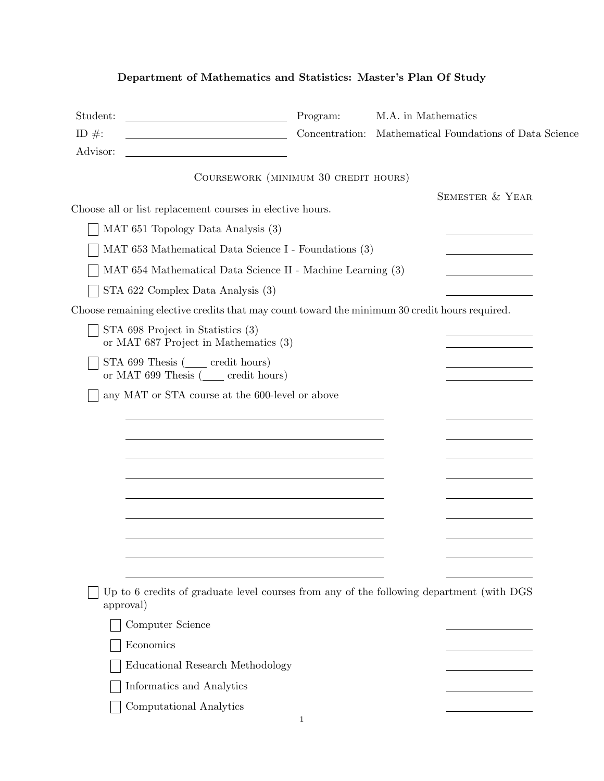## Department of Mathematics and Statistics: Master's Plan Of Study

| Student:<br><u> 1989 - Johann Barbara, martxa alemaniar a</u><br>ID $\#$ :<br><u> 1989 - Johann Barbara, martin a</u> | Program:                             | M.A. in Mathematics<br>Concentration: Mathematical Foundations of Data Science           |
|-----------------------------------------------------------------------------------------------------------------------|--------------------------------------|------------------------------------------------------------------------------------------|
| Advisor:                                                                                                              |                                      |                                                                                          |
|                                                                                                                       | COURSEWORK (MINIMUM 30 CREDIT HOURS) |                                                                                          |
|                                                                                                                       |                                      | <b>SEMESTER &amp; YEAR</b>                                                               |
| Choose all or list replacement courses in elective hours.                                                             |                                      |                                                                                          |
| MAT 651 Topology Data Analysis (3)                                                                                    |                                      |                                                                                          |
| MAT 653 Mathematical Data Science I - Foundations (3)                                                                 |                                      |                                                                                          |
| MAT 654 Mathematical Data Science II - Machine Learning (3)                                                           |                                      |                                                                                          |
| STA 622 Complex Data Analysis (3)                                                                                     |                                      |                                                                                          |
| Choose remaining elective credits that may count toward the minimum 30 credit hours required.                         |                                      |                                                                                          |
| STA 698 Project in Statistics (3)<br>or MAT 687 Project in Mathematics (3)                                            |                                      |                                                                                          |
| STA 699 Thesis (_____ credit hours)<br>or MAT 699 Thesis $($ credit hours)                                            |                                      |                                                                                          |
| any MAT or STA course at the 600-level or above                                                                       |                                      |                                                                                          |
|                                                                                                                       |                                      |                                                                                          |
|                                                                                                                       |                                      |                                                                                          |
|                                                                                                                       |                                      |                                                                                          |
|                                                                                                                       |                                      |                                                                                          |
|                                                                                                                       |                                      |                                                                                          |
|                                                                                                                       |                                      |                                                                                          |
|                                                                                                                       |                                      |                                                                                          |
|                                                                                                                       |                                      |                                                                                          |
|                                                                                                                       |                                      |                                                                                          |
| approval)                                                                                                             |                                      | Up to 6 credits of graduate level courses from any of the following department (with DGS |
| Computer Science                                                                                                      |                                      |                                                                                          |
| Economics                                                                                                             |                                      |                                                                                          |
| Educational Research Methodology                                                                                      |                                      |                                                                                          |
| Informatics and Analytics                                                                                             |                                      |                                                                                          |
| Computational Analytics                                                                                               |                                      |                                                                                          |
|                                                                                                                       | 1                                    |                                                                                          |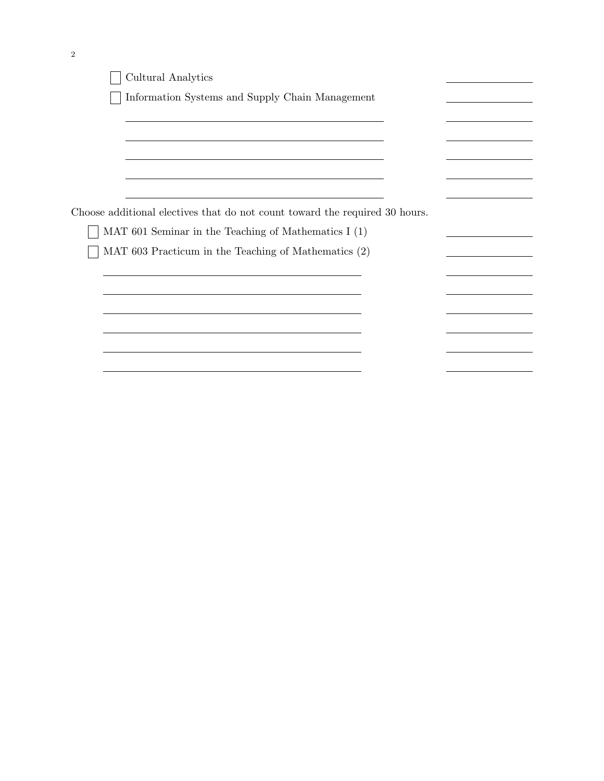| Cultural Analytics                                                                                              |  |
|-----------------------------------------------------------------------------------------------------------------|--|
| Information Systems and Supply Chain Management                                                                 |  |
|                                                                                                                 |  |
|                                                                                                                 |  |
| the contract of the contract of the contract of the contract of the contract of the contract of the contract of |  |
|                                                                                                                 |  |
| Choose additional electives that do not count toward the required 30 hours.                                     |  |
| MAT 601 Seminar in the Teaching of Mathematics I $(1)$                                                          |  |
| MAT 603 Practicum in the Teaching of Mathematics (2)                                                            |  |
|                                                                                                                 |  |
|                                                                                                                 |  |
|                                                                                                                 |  |
|                                                                                                                 |  |
|                                                                                                                 |  |